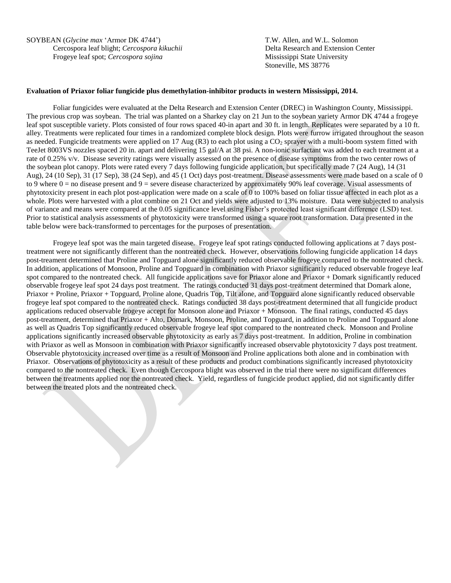SOYBEAN (*Glycine max* 'Armor DK 4744') T.W. Allen, and W.L. Solomon Cercospora leaf blight; *Cercospora kikuchii* Delta Research and Extension Center Frogeye leaf spot; *Cercospora sojina* Mississippi State University

Stoneville, MS 38776

## **Evaluation of Priaxor foliar fungicide plus demethylation-inhibitor products in western Mississippi, 2014.**

Foliar fungicides were evaluated at the Delta Research and Extension Center (DREC) in Washington County, Mississippi. The previous crop was soybean. The trial was planted on a Sharkey clay on 21 Jun to the soybean variety Armor DK 4744 a frogeye leaf spot susceptible variety. Plots consisted of four rows spaced 40-in apart and 30 ft. in length. Replicates were separated by a 10 ft. alley. Treatments were replicated four times in a randomized complete block design. Plots were furrow irrigated throughout the season as needed. Fungicide treatments were applied on 17 Aug (R3) to each plot using a CO<sub>2</sub> sprayer with a multi-boom system fitted with TeeJet 8003VS nozzles spaced 20 in. apart and delivering 15 gal/A at 38 psi. A non-ionic surfactant was added to each treatment at a rate of 0.25% v/v. Disease severity ratings were visually assessed on the presence of disease symptoms from the two center rows of the soybean plot canopy. Plots were rated every 7 days following fungicide application, but specifically made 7 (24 Aug), 14 (31 Aug), 24 (10 Sep), 31 (17 Sep), 38 (24 Sep), and 45 (1 Oct) days post-treatment. Disease assessments were made based on a scale of 0 to 9 where  $0 =$  no disease present and  $9 =$  severe disease characterized by approximately 90% leaf coverage. Visual assessments of phytotoxicity present in each plot post-application were made on a scale of 0 to 100% based on foliar tissue affected in each plot as a whole. Plots were harvested with a plot combine on 21 Oct and yields were adjusted to 13% moisture. Data were subjected to analysis of variance and means were compared at the 0.05 significance level using Fisher's protected least significant difference (LSD) test. Prior to statistical analysis assessments of phytotoxicity were transformed using a square root transformation. Data presented in the table below were back-transformed to percentages for the purposes of presentation.

Frogeye leaf spot was the main targeted disease. Frogeye leaf spot ratings conducted following applications at 7 days posttreatment were not significantly different than the nontreated check. However, observations following fungicide application 14 days post-treament determined that Proline and Topguard alone significantly reduced observable frogeye compared to the nontreated check. In addition, applications of Monsoon, Proline and Topguard in combination with Priaxor significantly reduced observable frogeye leaf spot compared to the nontreated check. All fungicide applications save for Priaxor alone and Priaxor + Domark significantly reduced observable frogeye leaf spot 24 days post treatment. The ratings conducted 31 days post-treatment determined that Domark alone, Priaxor + Proline, Priaxor + Topguard, Proline alone, Quadris Top, Tilt alone, and Topguard alone significantly reduced observable frogeye leaf spot compared to the nontreated check. Ratings conducted 38 days post-treatment determined that all fungicide product applications reduced observable frogeye accept for Monsoon alone and Priaxor + Monsoon. The final ratings, conducted 45 days post-treatment, determined that Priaxor + Alto, Domark, Monsoon, Proline, and Topguard, in addition to Proline and Topguard alone as well as Quadris Top significantly reduced observable frogeye leaf spot compared to the nontreated check. Monsoon and Proline applications significantly increased observable phytotoxicity as early as 7 days post-treatment. In addition, Proline in combination with Priaxor as well as Monsoon in combination with Priaxor significantly increased observable phytotoxicity 7 days post treatment. Observable phytotoxicity increased over time as a result of Monsoon and Proline applications both alone and in combination with Priaxor. Observations of phytotoxicity as a result of these products and product combinations significantly increased phytotoxicity compared to the nontreated check. Even though Cercospora blight was observed in the trial there were no significant differences between the treatments applied nor the nontreated check. Yield, regardless of fungicide product applied, did not significantly differ between the treated plots and the nontreated check.